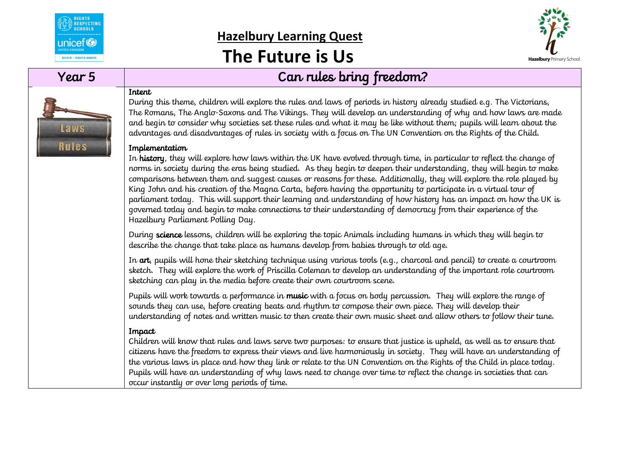

# **Hazelbury Learning Quest**

## **The Future is Us**



### Year 5 Can rules bring freedom?

**Laws** 

**Rules** 

#### Intent

During this theme, children will explore the rules and laws of periods in history already studied e.g. The Victorians, The Romans, The Anglo-Saxons and The Vikings. They will develop an understanding of why and how laws are made and begin to consider why societies set these rules and what it may be like without them; pupils will learn about the advantages and disadvantages of rules in society with a focus on The UN Convention on the Rights of the Child.

#### Implementation

In history, they will explore how laws within the UK have evolved through time, in particular to reflect the change of norms in society during the eras being studied. As they begin to deepen their understanding, they will begin to make comparisons between them and suggest causes or reasons for these. Additionally, they will explore the role played by King John and his creation of the Magna Carta, before having the opportunity to participate in a virtual tour of parliament today. This will support their learning and understanding of how history has an impact on how the UK is governed today and begin to make connections to their understanding of democracy from their experience of the Hazelbury Parliament Polling Day.

During science lessons, children will be exploring the topic Animals including humans in which they will begin to describe the change that take place as humans develop from babies through to old age.

In art, pupils will hone their sketching technique using various tools (e.g., charcoal and pencil) to create a courtroom sketch. They will explore the work of Priscilla Coleman to develop an understanding of the important role courtroom sketching can play in the media before create their own courtroom scene.

Pupils will work towards a performance in music with a focus on body percussion. They will explore the range of sounds they can use, before creating beats and rhythm to compose their own piece. They will develop their understanding of notes and written music to then create their own music sheet and allow others to follow their tune.

#### Impact

Children will know that rules and laws serve two purposes: to ensure that justice is upheld, as well as to ensure that citizens have the freedom to express their views and live harmoniously in society. They will have an understanding of the various laws in place and how they link or relate to the UN Convention on the Rights of the Child in place today. Pupils will have an understanding of why laws need to change over time to reflect the change in societies that can occur instantly or over long periods of time.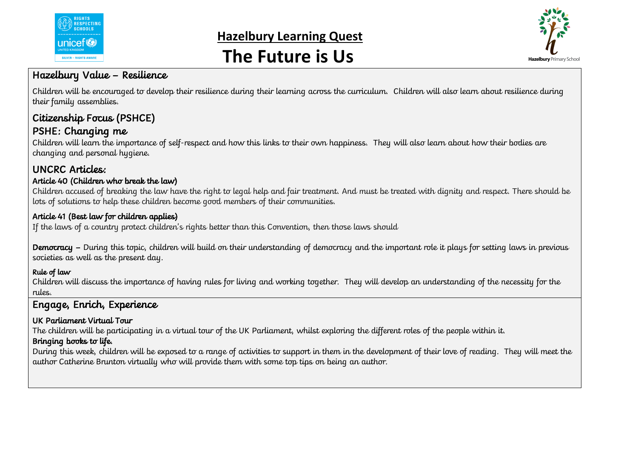

## **Hazelbury Learning Quest The Future is Us**



#### Hazelbury Value – Resilience

Children will be encouraged to develop their resilience during their learning across the curriculum. Children will also learn about resilience during their family assemblies.

## Citizenship Focus (PSHCE)

### PSHE: Changing me

Children will learn the importance of self-respect and how this links to their own happiness. They will also learn about how their bodies are changing and personal hygiene.

### UNCRC Articles:

#### Article 40 (Children who break the law)

Children accused of breaking the law have the right to legal help and fair treatment. And must be treated with dignity and respect. There should be lots of solutions to help these children become good members of their communities.

#### Article 41 (Best law for children applies)

If the laws of a country protect children's rights better than this Convention, then those laws should

Democracy - During this topic, children will build on their understanding of democracy and the important role it plays for setting laws in previous societies as well as the present day.

#### Rule of law

Children will discuss the importance of having rules for living and working together. They will develop an understanding of the necessity for the rules.

### Engage, Enrich, Experience

#### UK Parliament Virtual Tour

The children will be participating in a virtual tour of the UK Parliament, whilst exploring the different roles of the people within it.

#### Bringing books to life.

During this week, children will be exposed to a range of activities to support in them in the development of their love of reading. They will meet the author Catherine Brunton virtually who will provide them with some top tips on being an author.